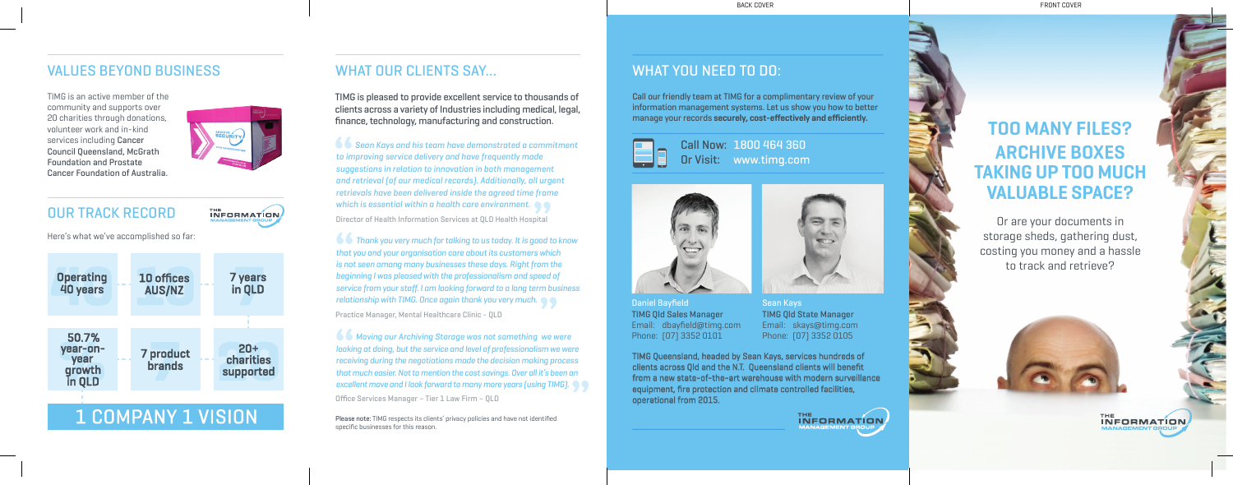## **TOO MANY FILES? ARCHIVE BOXES TAKING UP TOO MUCH VALUABLE SPACE?**

Or are your documents in storage sheds, gathering dust, costing you money and a hassle to track and retrieve?



Call our friendly team at TIMG for a complimentary review of your information management systems. Let us show you how to better manage your records **securely, cost-effectively and efficiently.**



TIMG is pleased to provide excellent service to thousands of clients across a variety of Industries including medical, legal, finance, technology, manufacturing and construction.

TIMG is an active member of the community and supports over 20 charities through donations, volunteer work and in-kind services including Cancer Council Queensland, McGrath Foundation and Prostate Cancer Foundation of Australia.



THE **INFORMATION** 

### OUR TRACK RECORD

Here's what we've accomplished so far:



## VALUES BEYOND BUSINESS WHAT OUR CLIENTS SAY… WHAT YOU NEED TO DO:

 *Sean Kays and his team have demonstrated a commitment to improving service delivery and have frequently made suggestions in relation to innovation in both management and retrieval (of our medical records). Additionally, all urgent retrievals have been delivered inside the agreed time frame which is essential within a health care environment.*

 *Thank you very much for talking to us today. It is good to know that you and your organisation care about its customers which is not seen among many businesses these days. Right from the beginning I was pleased with the professionalism and speed of service from your staff. I am looking forward to a long term business relationship with TIMG. Once again thank you very much.* Practice Manager, Mental Healthcare Clinic - QLD

 *Moving our Archiving Storage was not something we were looking at doing, but the service and level of professionalism we were receiving during the negotiations made the decision making process that much easier. Not to mention the cost savings. Over all it's been an excellent move and I look forward to many more years (using TIMG).*

Director of Health Information Services at QLD Health Hospital

Office Services Manager – Tier 1 Law Firm – QLD

Call Now: 1800 464 360 Or Visit: www.timg.com





Sean Kays TIMG Qld State Manager Email: skays@timg.com Phone: (07) 3352 0105

Daniel Bayfield TIMG Qld Sales Manager Email: dbayfield@timg.com Phone: (07) 3352 0101

TIMG Queensland, headed by Sean Kays, services hundreds of clients across Qld and the N.T. Queensland clients will benefit from a new state-of-the-art warehouse with modern surveillance equipment, fire protection and climate controlled facilities, operational from 2015.



BACK COVER FRONT COVER

Please note: TIMG respects its clients' privacy policies and have not identified specific businesses for this reason.